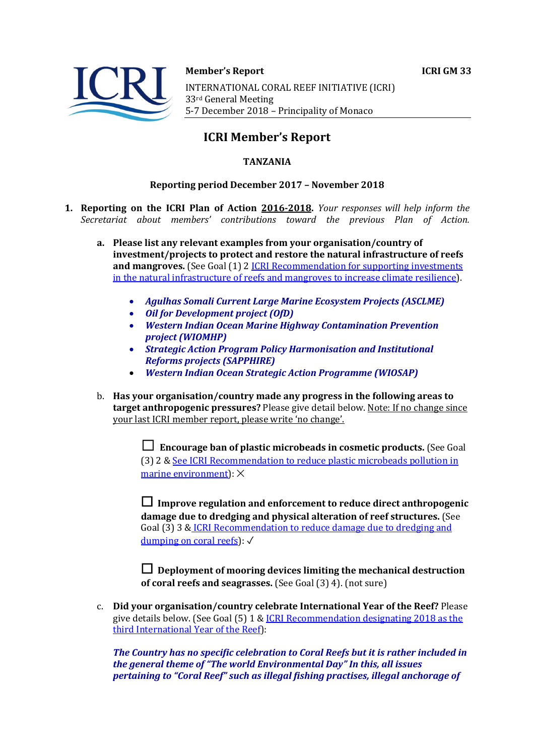



**Member's Report ICRI GM 33** 

INTERNATIONAL CORAL REEF INITIATIVE (ICRI) 33rd General Meeting 5-7 December 2018 - Principality of Monaco

# **ICRI Member's Report**

## **TANZANIA**

### **Reporting period December 2017 - November 2018**

- **1. Reporting on the ICRI Plan of Action 2016-2018.** *Your responses will help inform the Secretariat about members' contributions toward the previous Plan of Action.*
	- a. Please list any relevant examples from your organisation/country of **investment/projects to protect and restore the natural infrastructure of reefs and mangroves.** (See Goal (1) 2 *ICRI Recommendation for supporting investments* in the natural infrastructure of reefs and mangroves to increase climate resilience).
		- *Agulhas Somali Current Large Marine Ecosystem Projects (ASCLME)*
		- *Oil for Development project (OfD)*
		- *Western Indian Ocean Marine Highway Contamination Prevention project (WIOMHP)*
		- *Strategic Action Program Policy Harmonisation and Institutional Reforms projects (SAPPHIRE)*
		- *Western Indian Ocean Strategic Action Programme (WIOSAP)*
	- b. Has your organisation/country made any progress in the following areas to **target anthropogenic pressures?** Please give detail below. Note: If no change since your last ICRI member report, please write 'no change'.

 $\Box$  **Encourage ban of plastic microbeads in cosmetic products.** (See Goal (3) 2 & See ICRI Recommendation to reduce plastic microbeads pollution in marine environment):  $\times$ 

□ Improve regulation and enforcement to reduce direct anthropogenic **damage due to dredging and physical alteration of reef structures.** (See Goal (3) 3 & ICRI Recommendation to reduce damage due to dredging and dumping on coral reefs):  $\sqrt{ }$ 

 $\Box$  Deployment of mooring devices limiting the mechanical destruction **of coral reefs and seagrasses.** (See Goal (3) 4). (not sure)

c. **Did your organisation/country celebrate International Year of the Reef?** Please give details below. (See Goal  $(5)$  1 & ICRI Recommendation designating 2018 as the third International Year of the Reef):

The Country has no specific celebration to Coral Reefs but it is rather included in *the general theme of "The world Environmental Day" In this, all issues pertaining to "Coral Reef" such as illegal fishing practises, illegal anchorage of*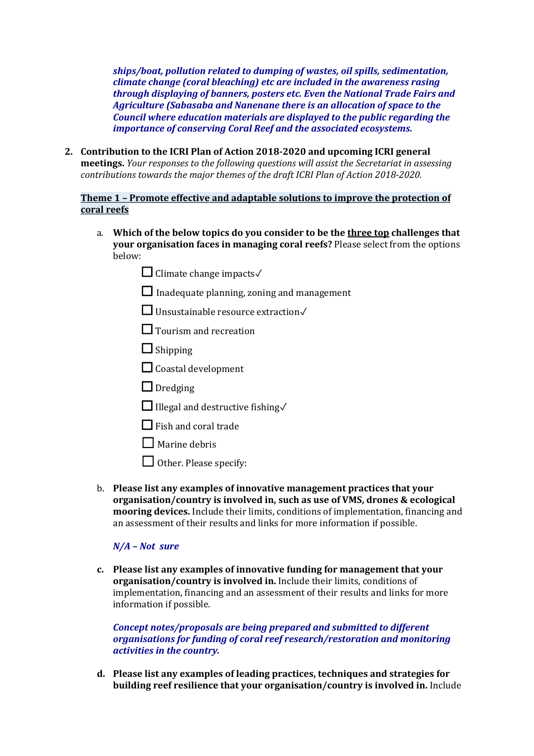*ships/boat, pollution related to dumping of wastes, oil spills, sedimentation, climate change (coral bleaching) etc are included in the awareness rasing through displaying of banners, posters etc. Even the National Trade Fairs and Agriculture (Sabasaba and Nanenane there is an allocation of space to the Council* where education materials are displayed to the public regarding the *importance of conserving Coral Reef and the associated ecosystems.* 

2. **Contribution to the ICRI Plan of Action 2018-2020 and upcoming ICRI general meetings.** *Your responses to the following questions will assist the Secretariat in assessing contributions towards the major themes of the draft ICRI Plan of Action 2018-2020.* 

### **Theme 1 - Promote effective and adaptable solutions to improve the protection of coral reefs**

- a. Which of the below topics do you consider to be the three top challenges that **your organisation faces in managing coral reefs?** Please select from the options below:
	- ☐ Climate change impacts✓
	- $\Box$  Inadequate planning, zoning and management
	- □ Unsustainable resource extraction√
	- $\Box$  Tourism and recreation
	- □ Shipping
	- $\Box$  Coastal development
	- $\Box$  Dredging
	- ☐ Illegal and destructive fishing✓
	- $\Box$  Fish and coral trade
	- $\Box$  Marine debris
	- $\Box$  Other. Please specify:
- b. Please list any examples of innovative management practices that your **organisation/country is involved in, such as use of VMS, drones & ecological mooring devices.** Include their limits, conditions of implementation, financing and an assessment of their results and links for more information if possible.

### *N/A – Not sure*

c. Please list any examples of innovative funding for management that your **organisation/country is involved in.** Include their limits, conditions of implementation, financing and an assessment of their results and links for more information if possible.

*Concept notes/proposals are being prepared and submitted to different organisations for funding of coral reef research/restoration and monitoring activities in the country.* 

d. Please list any examples of leading practices, techniques and strategies for **building reef resilience that your organisation/country is involved in.** Include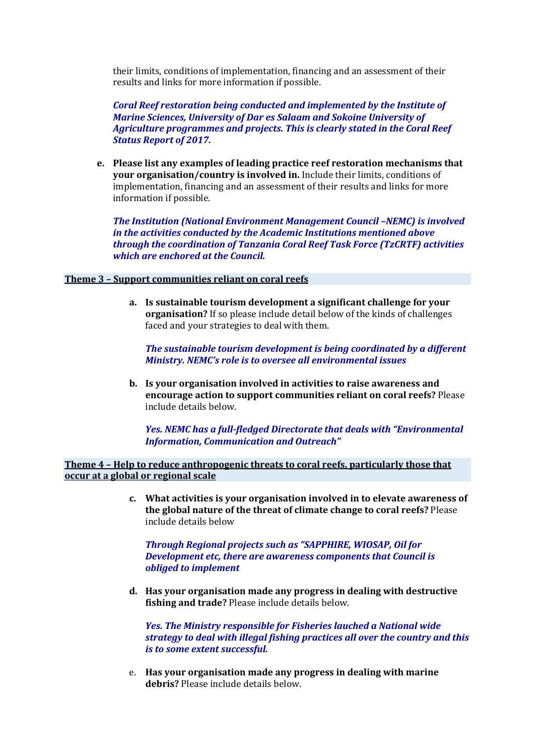their limits, conditions of implementation, financing and an assessment of their results and links for more information if possible.

**Coral Reef restoration being conducted and implemented by the Institute of Marine Sciences, University of Dar es Salaam and Sokoine University of** *Agriculture programmes and projects. This is clearly stated in the Coral Reef* **Status Report of 2017.** 

**e.** Please list any examples of leading practice reef restoration mechanisms that **your organisation/country is involved in.** Include their limits, conditions of implementation, financing and an assessment of their results and links for more information if possible.

**The Institution (National Environment Management Council -NEMC) is involved** *in the activities conducted by the Academic Institutions mentioned above through the coordination of Tanzania Coral Reef Task Force (TzCRTF) activities which are enchored at the Council.* 

#### **Theme 3 - Support communities reliant on coral reefs**

a. Is sustainable tourism development a significant challenge for your **organisation?** If so please include detail below of the kinds of challenges faced and your strategies to deal with them.

The sustainable tourism development is being coordinated by a different *Ministry. NEMC's role is to oversee all environmental issues* 

**b.** Is your organisation involved in activities to raise awareness and **encourage action to support communities reliant on coral reefs?** Please include details below.

*Yes. NEMC* has a full-fledged Directorate that deals with "Environmental *Information, Communication and Outreach"*

**Theme 4 - Help to reduce anthropogenic threats to coral reefs, particularly those that occur at a global or regional scale** 

> c. What activities is your organisation involved in to elevate awareness of **the global nature of the threat of climate change to coral reefs?** Please include details below

**Through Regional projects such as "SAPPHIRE, WIOSAP, Oil for Development etc, there are awareness components that Council is** *obliged to implement*

d. Has your organisation made any progress in dealing with destructive fishing and trade? Please include details below.

*Yes. The Ministry responsible for Fisheries lauched a National wide strategy to deal with illegal fishing practices all over the country and this is to some extent successful.* 

e. Has your organisation made any progress in dealing with marine **debris?** Please include details below.